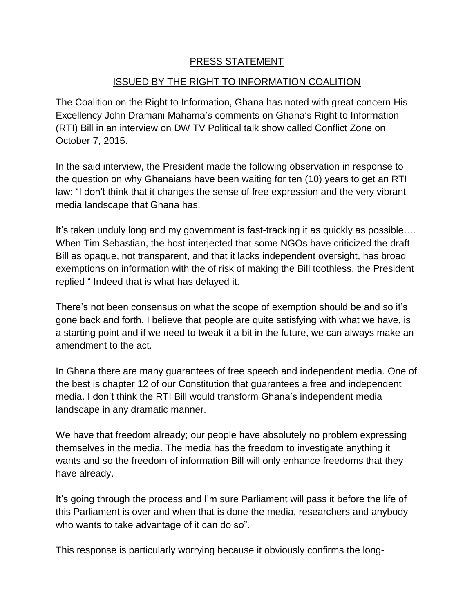## PRESS STATEMENT

## ISSUED BY THE RIGHT TO INFORMATION COALITION

The Coalition on the Right to Information, Ghana has noted with great concern His Excellency John Dramani Mahama's comments on Ghana's Right to Information (RTI) Bill in an interview on DW TV Political talk show called Conflict Zone on October 7, 2015.

In the said interview, the President made the following observation in response to the question on why Ghanaians have been waiting for ten (10) years to get an RTI law: "I don't think that it changes the sense of free expression and the very vibrant media landscape that Ghana has.

It's taken unduly long and my government is fast-tracking it as quickly as possible…. When Tim Sebastian, the host interjected that some NGOs have criticized the draft Bill as opaque, not transparent, and that it lacks independent oversight, has broad exemptions on information with the of risk of making the Bill toothless, the President replied " Indeed that is what has delayed it.

There's not been consensus on what the scope of exemption should be and so it's gone back and forth. I believe that people are quite satisfying with what we have, is a starting point and if we need to tweak it a bit in the future, we can always make an amendment to the act.

In Ghana there are many guarantees of free speech and independent media. One of the best is chapter 12 of our Constitution that guarantees a free and independent media. I don't think the RTI Bill would transform Ghana's independent media landscape in any dramatic manner.

We have that freedom already; our people have absolutely no problem expressing themselves in the media. The media has the freedom to investigate anything it wants and so the freedom of information Bill will only enhance freedoms that they have already.

It's going through the process and I'm sure Parliament will pass it before the life of this Parliament is over and when that is done the media, researchers and anybody who wants to take advantage of it can do so".

This response is particularly worrying because it obviously confirms the long-